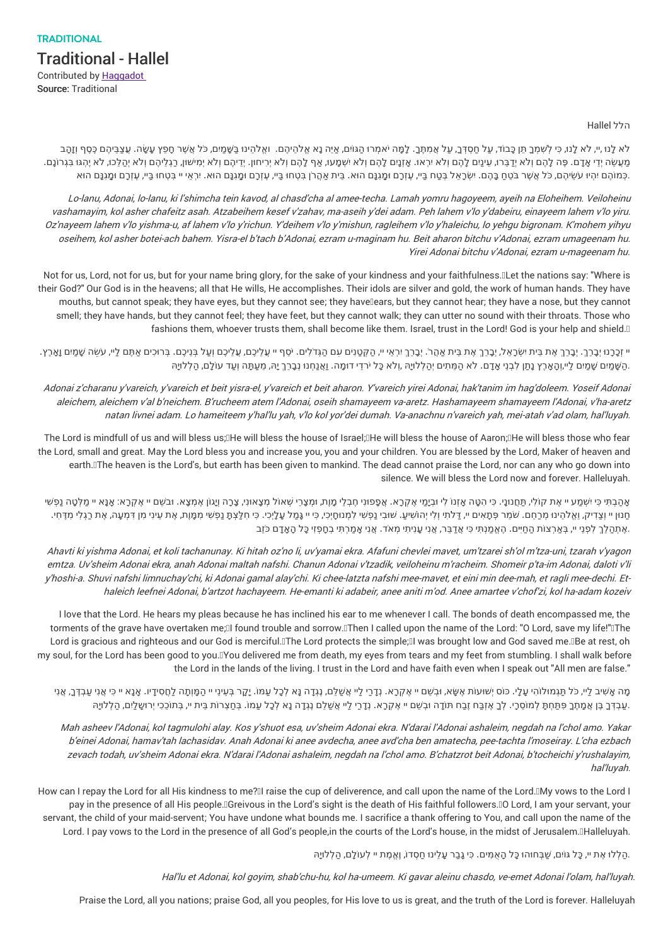## הלל Hallel

לא לָנוּ, ייִ, לא לָנוּ, כִּי לְשִׁמְךָ תֵּן כָבוֹד, עַל חַסְדְּךָ, עַל אֲמִתֶּךָ. לָמָה יֹאמְרוּ הַגּוֹים, אַיֵּה נָא אֱלֹהֶיהֶם. וּאֱלֹהֵינוּ בַּשָּׁמֵים, כֹּל אֲשֶׁר חָפֶץ עָשֶׂה. עֲצַבֵּיהֶם כָּסִף וְזָהָב מַעֲשֶׂה יְדֵי אַדָם. פָּה לָהֶם וְלֹא יִדֲבֵּרוּ, עֻינֵים לָמֶם וְלֹא יִרְאוּ. אֶזְנֵים לָהֶם וְלֹא יִשְׁמָעוּ, אַף לַהֶם וְלֹא יִירְיחוּן. יְדֵיהֶם וְלֹא יִמְיֹשׁוּן, כַגְלִיהֶם וְלֹא יִהָלְכֹוּ, לֹא יֶהְגֹרוֹנֶם. ַ.כְּמוֹהֶם יִהְיוּ עֹשֶׂיהֶם, כֹּל אֲשֶׁר בֹּטֶחַ בָּהֶם. יִשְׂרָאֵל בְּטֵח בֵּיי, עָזְרָם וּמָגְנַם הוֹא. בִּית אַהֲרֹן בִּטְחוּ בַּיי, עָזְרָם וּמַגְנַם הוֹא בִּית אַהֲרֹן בִּטְחוּ בַּיי, עָזְרָם וּמַג בַּח הוֹא

Lo-lanu, Adonai, lo-lanu, ki l'shimcha tein kavod, al chasd'cha al amee-techa. Lamah yomru hagoyeem, ayeih na Eloheihem. Veiloheinu vashamayim, kol asher chafeitz asah. Atzabeihem kesef <sup>v</sup>'zahav, ma-aseih y'dei adam. Peh lahem <sup>v</sup>'lo y'dabeiru, einayeem lahem <sup>v</sup>'lo yiru. Oz'nayeem lahem <sup>v</sup>'lo yishma-u, af lahem <sup>v</sup>'lo y'richun. Y'deihem <sup>v</sup>'lo y'mishun, ragleihem <sup>v</sup>'lo y'haleichu, lo yehgu bigronam. K'mohem yihyu oseihem, kol asher botei-ach bahem. Yisra-el b'tach b'Adonai, ezram u-maginam hu. Beit aharon bitchu <sup>v</sup>'Adonai, ezram umageenam hu. Yirei Adonai bitchu <sup>v</sup>'Adonai, ezram u-mageenam hu.

Not for us, Lord, not for us, but for your name bring glory, for the sake of your kindness and your faithfulness. Let the nations say: "Where is their God?" Our God is in the heavens; all that He wills, He accomplishes. Their idols are silver and gold, the work of human hands. They have mouths, but cannot speak; they have eyes, but they cannot see; they havellears, but they cannot hear; they have a nose, but they cannot smell; they have hands, but they cannot feel; they have feet, but they cannot walk; they can utter no sound with their throats. Those who fashions them, whoever trusts them, shall become like them. Israel, trust in the Lord! God is your help and shield.[

ײ זְכָרָנוּ יְבָרֶךְ אֶת בֵּית יִשְׂרָאֵל, יְבָרֶךְ אֶת בֵּית אַהָר. יְבָרֶךְ יִרְאֵי יי, הַקְטַנִים עִם הַגְּדֹלִים. יֹסֵף יי עֲלֵיכֶם, עֲלֵיכֶם וְעַל בְּנֵיכֶם. בְּרוּכִים אַתְּם לַיי, עֹשָׂה שָׁמַיִם וָאָרֶץ. ָהַשָּׁמִים שָׁמַיִם לַיי,וְהָאָרֶץ נָתַן לִבְנֵי אָדָם. לא הַמֶּתִים יְהַלְלוּיָהּ, וְלֹא כָּל יֹרדֵי דוּמָה. וַאֲנַחְנוּ וְבָרֵךְ יֶה, מֵעַתָּה וְעַד עוֹלָם, הַלְלוּיָה

Adonai <sup>z</sup>'charanu y'vareich, y'vareich et beit yisra-el, y'vareich et beit aharon. Y'vareich yirei Adonai, hak'tanim im hag'doleem. Yoseif Adonai aleichem, aleichem <sup>v</sup>'al b'neichem. B'rucheem atem l'Adonai, oseih shamayeem va-aretz. Hashamayeem shamayeem l'Adonai, <sup>v</sup>'ha-aretz natan livnei adam. Lo hameiteem y'hal'lu yah, <sup>v</sup>'lo kol yor'dei dumah. Va-anachnu <sup>n</sup>'vareich yah, mei-atah <sup>v</sup>'ad olam, hal'luyah.

The Lord is mindfull of us and will bless us; He will bless the house of Israel; He will bless the house of Aaron; He will bless those who fear the Lord, small and great. May the Lord bless you and increase you, you and your children. You are blessed by the Lord, Maker of heaven and earth.<sup>The heaven is the Lord's, but earth has been given to mankind. The dead cannot praise the Lord, nor can any who go down into</sup> silence. We will bless the Lord now and forever. Halleluyah.

אָהַבְתִּי כִּי יִשְׁמַע יי אֶת קוֹלְי, תַּחֲנוּנֶי. כִּי הְטֶה אָזְנוֹ לִי וּבְיַמִי אֶקְרָא. אֲפָפוּנִי חָבְלֵי מָוֶת, וּמִצָּרֵי שְׁאוֹל מְצָאוּנִי, צָרָה וְעֵנוֹ אֶמְצָא. ובשַׁם יי אֶקְרָא: אֲנָּא יי מַלְטָה נַפְשִׁי חַנון יי וְצַדִיק, וַאֱלהֵינוּ מְרַחֶם. שֹׁמֵר פְתַאִים יי, דַלתִי וְלִי יְהוֹשִׁיעַ. שוּבִי נַפְשִׁי לְמְנוּחָיָכִי, כִּי יי גָּמַל עֲלָיְכִי. כִּי חַלַּצְתָּ נַפְשִׁי מִמָּוָת, אֶת רַאֲל מִדְחָי. ָאֶתְהָלֶךְ לִפְנֵי יי, בְּאַרְצוֹת הַחַיִּים. הֶאֱמַנִתִּי כִּי אֲדַבֵּר, אֲנִי עֲנִיתִי מִאד. אֲנִי אֲמַרְתִּי בְחַפְזִי כָּל הֲאָדָם כֹּזֵב.

Ahavti ki yishma Adonai, et koli tachanunay. Ki hitah oz'no li, uv'yamai ekra. Afafuni chevlei mavet, um'tzarei sh'ol <sup>m</sup>'tza-uni, tzarah <sup>v</sup>'yagon emtza. Uv'sheim Adonai ekra, anah Adonai maltah nafshi. Chanun Adonai <sup>v</sup>'tzadik, veiloheinu <sup>m</sup>'racheim. Shomeir p'ta-im Adonai, daloti <sup>v</sup>'li y'hoshi-a. Shuvi nafshi limnuchay'chi, ki Adonai gamal alay'chi. Ki chee-latzta nafshi mee-mavet, et eini min dee-mah, et ragli mee-dechi. Ethaleich leefnei Adonai, b'artzot hachayeem. He-emanti ki adabeir, anee aniti <sup>m</sup>'od. Anee amartee <sup>v</sup>'chof'zi, kol ha-adam kozeiv

I love that the Lord. He hears my pleas because he has inclined his ear to me whenever I call. The bonds of death encompassed me, the torments of the grave have overtaken me;<sup>[]</sup> found trouble and sorrow.IThen I called upon the name of the Lord: "O Lord, save my life!"IThe Lord is gracious and righteous and our God is merciful.DThe Lord protects the simple;DI was brought low and God saved me.DBe at rest, oh my soul, for the Lord has been good to you.You delivered me from death, my eyes from tears and my feet from stumbling. I shall walk before the Lord in the lands of the living. I trust in the Lord and have faith even when I speak out "All men are false."

מָה אַשִׁיב לַיי, כֹּל תַּגְמוּלוֹהִי עָלָי. כּוֹס יְשׁוּעוֹת אָשָׂא, וּבְשֵׁם יי אָקְרָא. נְדָרַי לַיי אֲשַלַּם, נֶגְדָה נָּא לְכָל עַמּוֹ. יָקָר בְּעֵינֵי יי הַמָּוְתָה לַחֲסִידָיו. אָנָא יי כִּי אֲנִי עַבְדָּךְ, אָנִי ַעַבְדְּךָ בֶּן אֲמָתָךָ פִּתַּחְתַּ לְמוֹסֵרָי. לְךָ אֶזְבֵּח זָבַח תּוֹדָה וּבְשָׁם יי אֶקְרָא. נְדָרַי לַיי אֲשַׁלֵם נֶגְדָה נָא לְכָל עַמוֹ. בְּחַצְרוֹת בֵּית יי, בְּתוֹכֵרִי יְרוּשָׁלַיִם, הַלְלוּיָה

Mah asheev l'Adonai, kol tagmulohi alay. Kos y'shuot esa, uv'sheim Adonai ekra. N'darai l'Adonai ashaleim, negdah na l'chol amo. Yakar b'einei Adonai, hamav'tah lachasidav. Anah Adonai ki anee avdecha, anee avd'cha ben amatecha, pee-tachta l'moseiray. L'cha ezbach zevach todah, uv'sheim Adonai ekra. N'darai l'Adonai ashaleim, negdah na l'chol amo. B'chatzrot beit Adonai, b'tocheichi y'rushalayim, hal'luyah.

How can I repay the Lord for all His kindness to me?II raise the cup of deliverence, and call upon the name of the Lord.IMy vows to the Lord I pay in the presence of all His people.<sup>[</sup>Greivous in the Lord's sight is the death of His faithful followers.<sup>[1]</sup> D Lord, I am your servant, your servant, the child of your maid-servent; You have undone what bounds me. I sacrifice a thank offering to You, and call upon the name of the Lord. I pay vows to the Lord in the presence of all God's people, in the courts of the Lord's house, in the midst of Jerusalem. [Halleluyah.

ָהַלְלוּ אֶת יי, כָּל גּוֹיִם, שַׁבְּחוּהוּ כָּל הָאֻמִּים. כִּי גָבַר עָלֵינוּ חַסְדוֹ, וֶאֱמֶת יי לְעוֹלָם, הַלְלוּיָהּ.

Hal'lu et Adonai, kol goyim, shab'chu-hu, kol ha-umeem. Ki gavar aleinu chasdo, ve-emet Adonai l'olam, hal'luyah.

Praise the Lord, all you nations; praise God, all you peoples, for His love to us is great, and the truth of the Lord is forever. Halleluyah.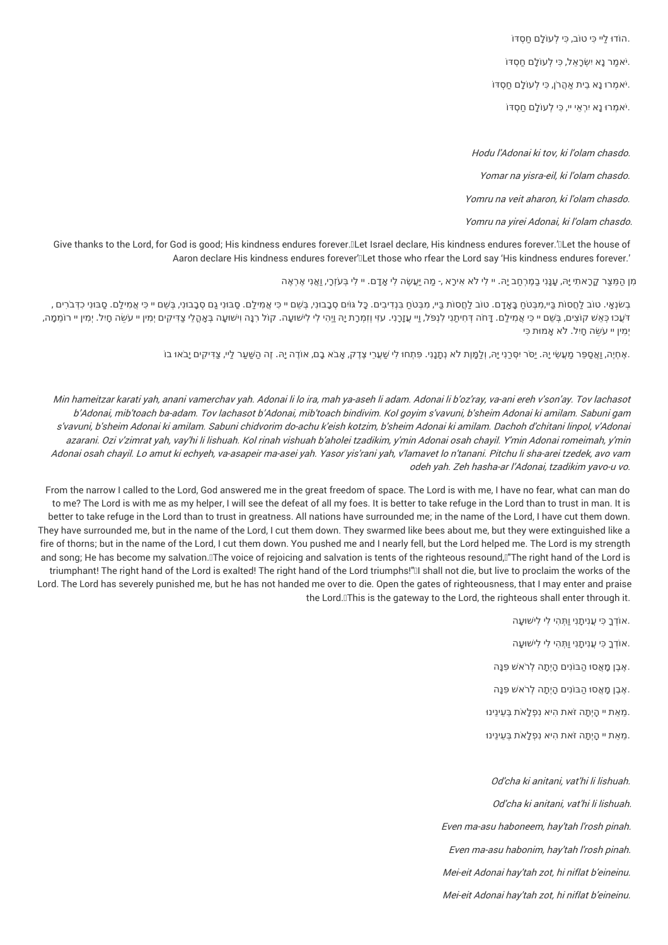ֿהוֹדוּ לַיי כִּי טוֹב, כִּי לְעוֹלָם חַסְדּוֹ.

ֿיאמַר נַא יִשְׂרַאֱל, כִּי לְעוֹלַם חַסְדּוֹ.

יֹאמְרוּ נָא בֵית אַהֲרֹן, כִּי לְעוֹלָם חַסְדּוֹ.

ֿיאמְרוּ נָא יִרְאֵי יי, כִּי לְעוֹלָם חַסְדּוֹ.

Hodu l'Adonai ki tov, ki l'olam chasdo.

Yomar na yisra-eil, ki l'olam chasdo.

Yomru na veit aharon, ki l'olam chasdo.

Yomru na yirei Adonai, ki l'olam chasdo.

Give thanks to the Lord, for God is good; His kindness endures forever. Let Israel declare, His kindness endures forever. 'ILet the house of Aaron declare His kindness endures forever'llet those who rfear the Lord say 'His kindness endures forever.'

ּמְן הַמֵּצַר קָרָאתִי יָ<sub>ָ</sub>ה, עָנָּנִי בַמֶּרְחַב יָהּ. יי לִי לֹא אִירָא ,- מַה יַּעֲשֶׂה לִי אָדָם. יי לִי בְּעזְרָי, וַאֲנִי אֶרְאֶה

.<br>בשנאי. טוב לחסות בַּיי,מבּטח בַּאַדַם. טוב לחסות בֵּיי, מבטח בִּנִדִיבִים. כַּל גּוּים סְבַבוּנִי, כִּשֵׁם יי כִּי אַמִילַם. סַבּוּנִי גַם סְבַבוּנִי, בִּשֶׁם יי כִּי אַמִילַם. סִבּוּנִי כִדְבֹרִים , דעכו כאש קוצים, בשם יי כי אמילם. דחה דחיתני לנפל, ויי עזכני. עזי וזמרת יה ולי לישועה. קול רנה וישועה באהלי צדיקים ימין יי עשה חיל. ימין יי רוממה, ימיו יי עֹשׂה חיִל. לֹא אמוּת כִּי

ָאָחְיֶה, וַאֲסַפֵּר מַעְשִׂי יָהּ. יַסֹּר יִסְּרַנִי יָהּ, וְלַמָּוֶת לֹא נְתָנָנִי. פִּתְחוּ לִי שַׁעֲרֵי צֶדֶק, אָבֹא בָם, אוֹדֶה יֶהּ. זֶה הַשַּׁעַר לַיי, צַדִּיקִים יָבֹאוּ בוֹ

Min hameitzar karati yah, anani vamerchav yah. Adonai li lo ira, mah ya-aseh li adam. Adonai li b'oz'ray, va-ani ereh <sup>v</sup>'son'ay. Tov lachasot b'Adonai, mib'toach ba-adam. Tov lachasot b'Adonai, mib'toach bindivim. Kol goyim <sup>s</sup>'vavuni, b'sheim Adonai ki amilam. Sabuni gam <sup>s</sup>'vavuni, b'sheim Adonai ki amilam. Sabuni chidvorim do-achu k'eish kotzim, b'sheim Adonai ki amilam. Dachoh d'chitani linpol, <sup>v</sup>'Adonai azarani. Ozi <sup>v</sup>'zimrat yah, vay'hi li lishuah. Kol rinah vishuah b'aholei tzadikim, y'min Adonai osah chayil. Y'min Adonai romeimah, y'min Adonai osah chayil. Lo amut ki echyeh, va-asapeir ma-asei yah. Yasor yis'rani yah, <sup>v</sup>'lamavet lo <sup>n</sup>'tanani. Pitchu li sha-arei tzedek, avo vam odeh yah. Zeh hasha-ar l'Adonai, tzadikim yavo-u vo.

From the narrow I called to the Lord, God answered me in the great freedom of space. The Lord is with me, I have no fear, what can man do to me? The Lord is with me as my helper, I will see the defeat of all my foes. It is better to take refuge in the Lord than to trust in man. It is better to take refuge in the Lord than to trust in greatness. All nations have surrounded me; in the name of the Lord, I have cut them down. They have surrounded me, but in the name of the Lord, I cut them down. They swarmed like bees about me, but they were extinguished like a fire of thorns; but in the name of the Lord, I cut them down. You pushed me and I nearly fell, but the Lord helped me. The Lord is my strength and song; He has become my salvation. The voice of rejoicing and salvation is tents of the righteous resound, The right hand of the Lord is triumphant! The right hand of the Lord is exalted! The right hand of the Lord triumphs!"I shall not die, but live to proclaim the works of the Lord. The Lord has severely punished me, but he has not handed me over to die. Open the gates of righteousness, that I may enter and praise the Lord.This is the gateway to the Lord, the righteous shall enter through it.

- .א ֹו ְדךָ כִּי ֲענִיתָנִי וַ ּתְ ִהי לִי לִי ׁשו ָּעה
- .אוֹדְךָ כִּי עֲנִיתַנִי וַתְּהִי לִי לִישׁוּעַה
- ָאֶבֶן מָאֲסוּ הַבּוֹנִים הָיְתָה לְרֹאשׁ פִּנָּה.
- . ֶאבֶן ָמ ֲאסו ּ ַהבּ ֹונִים ָהי ְתָה לְ ֹרא ׁש ּפִנָּה
- מאת יי היִתה זאת היא נפלאת בעינינו .
- ַמְאֵת יי הָיְתָה זֹאת הִיא נִפְלָאת בְּעֵינֵינו .

Od'cha ki anitani, vat'hi li lishuah. Od'cha ki anitani, vat'hi li lishuah. Even ma-asu haboneem, hay'tah l'rosh pinah. Even ma-asu habonim, hay'tah l'rosh pinah. Mei-eit Adonai hay'tah zot, hi niflat b'eineinu. Mei-eit Adonai hay'tah zot, hi niflat b'eineinu.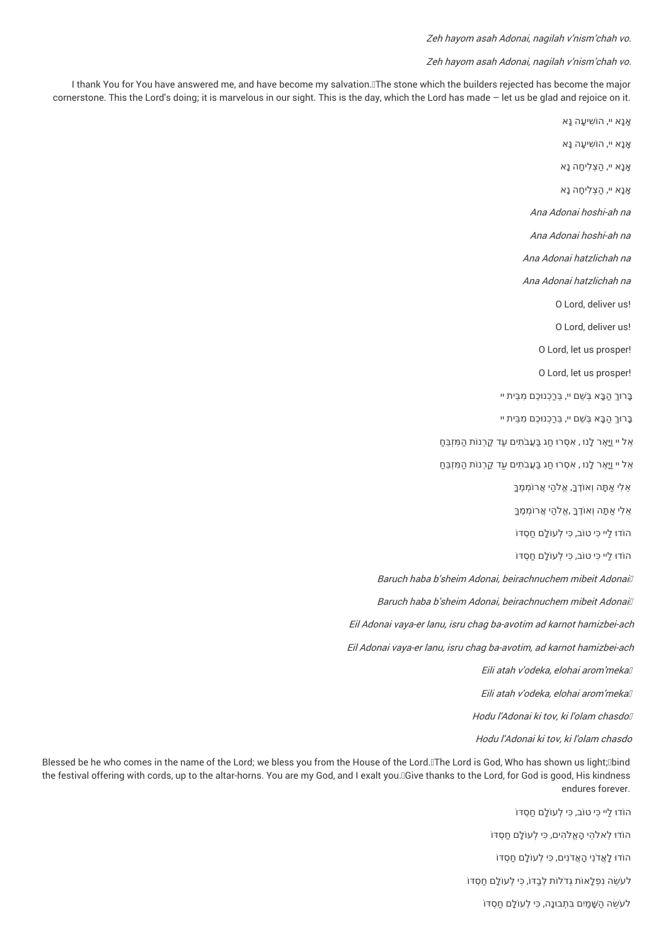Zeh hayom asah Adonai, nagilah <sup>v</sup>'nism'chah vo.

Zeh hayom asah Adonai, nagilah <sup>v</sup>'nism'chah vo.

I thank You for You have answered me, and have become my salvation.IThe stone which the builders rejected has become the major cornerstone. This the Lord's doing; it is marvelous in our sight. This is the day, which the Lord has made – let us be glad and rejoice on it.

ָאנָא יי, ה ֹו ִשי ָעה נָּא

ָאנָא יי, ה ֹו ִשי ָעה נָּא

ָאנָא יי, ַהצְלִי ָחה נָא

אַנַא יי, הצִליחַה <u>נ</u>א

Ana Adonai hoshi-ah na

Ana Adonai hoshi-ah na

Ana Adonai hatzlichah na

Ana Adonai hatzlichah na

O Lord, deliver us!

O Lord, deliver us!

O Lord, let us prosper!

O Lord, let us prosper!

ּבָּרוֹךְ הַבָּא בְּשֵׁם יי, בֵּרַכְנוּכֶם מִבֵּית יי

ּבֵּרוֹרָ הַבֵּא בְּשׁם יי, בֵּרְכְנוּכֶם מִבֵּית יי

אֵל יי <u>ו</u>יָּאֶר לָנוּ , אִסְרוּ חַג בַּעֲבֹתִים עַד קַרְנוֹת הַמִּזְבֵּחַ

אֵל יי <u>וי</u>ָאֶר לָנוּ , אִסְרוּ חַג בַּעֲבֹתִים עַד קַרְנוֹת הַמִּזְבֵּחַ

ֵאלִי ַא ּתָה וְא ֹו ֶדך,ָּ ֱא ֹל ַהי ֲאר ֹו ְמ ֶמךָּ

אַלִי אַתַּה וְאוֹדֶךָּ ,אֱלֹהִי אֱרוֹמָמֶךָ

הודו לַיי כִּי טוֹב, כִּי לְעוֹלָם חַסְדּוֹ

ֿהוֹדוּ לַיי כִּי טוֹב, כִּי לְעוֹלָם חַסְדּוֹ

Baruch haba b'sheim Adonai, beirachnuchem mibeit Adonai

Baruch haba b'sheim Adonai, beirachnuchem mibeit Adonai

Eil Adonai vaya-er lanu, isru chag ba-avotim ad karnot hamizbei-ach

Eil Adonai vaya-er lanu, isru chag ba-avotim, ad karnot hamizbei-ach

Eili atah <sup>v</sup>'odeka, elohai arom'meka

Eili atah <sup>v</sup>'odeka, elohai arom'meka

Hodu l'Adonai ki tov, ki l'olam chasdo

Hodu l'Adonai ki tov, ki l'olam chasdo

Blessed be he who comes in the name of the Lord; we bless you from the House of the Lord.IThe Lord is God, Who has shown us light;Ibind the festival offering with cords, up to the altar-horns. You are my God, and I exalt you. IGive thanks to the Lord, for God is good, His kindness endures forever.

> ה ֹודו ּלַיי כִּי ט ֹוב, כִּי לְע ֹולָם ַח ְסדּ ֹו ֿהוֹדוּ לֵאלֹהֵי הַאֱלֹהִים, כִּי לְעוֹלֵם חַסְדּוֹ הוֹדוּ לַאֲדֹנִי הַאֲדֹנִים, כִּי לְעוֹלֵם חַסְדּוֹ ֿלעֹשֵׂׂה נִפְלָאוֹת גְדֹלוֹת לְבַדּוֹ, כִּי לְעוֹלָם חַסְדּוֹ

לעשה השמים בּתְבוּנה, כִּי לְעוֹלִם חסדו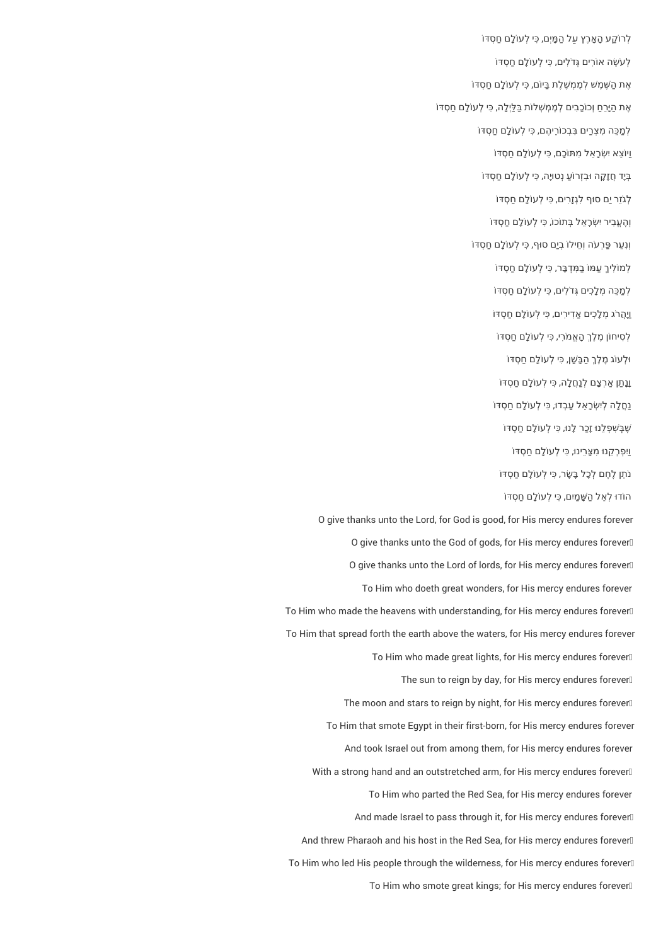לְרוֹקֵע הַאֲרֵץ עַל הַמַּיִם, כִּי לְעוֹלַם חַסְדּוֹ לְעִשֶׂה אוֹרִים גִדלִים, כִּי לְעוֹלַם חַסְדּוֹ ְאֶת הַשֶּׁמֶשׁ לְמֶמְשֶׁלֶת בֵּיוֹם, כִּי לְעוֹלֵם חְסְדּוֹ  $\mathbf{q}$ י הַיָּרֵם וְכוֹכָבִים לְמֶמְשְׁלוֹת בַּלַּיְלָה, כִּי לְעוֹלָם חַסְדּוֹ לְמַכֵּה מִצְרַים בִּבְכוֹרֵיהֶם, כִּי לְעוֹלַם חַסְדּוֹ וַי ֹוצֵא יִ ְׂשרָ ֵאל ִמ ּת ֹוכָם, כִּי לְע ֹולָם ַח ְסדּ ֹו בְּיַד חֲזַקַה וּבִזְרוֹע נְטוּיַה, כִּי לְעוֹלַם חִסְדּוֹ לְגֹזֵר <u>י</u>ם סוּף לִגְזָרִים, כִּי לְעוֹלָם חַסְדּוֹ וְ ֶה ֱעבִיר יִ ְׂשרָ ֵאל בְּת ֹוכ ֹו, כִּי לְע ֹולָם ַח ְסדּ ֹו וְנְעֵר פַּרְעֹה וְחֵילוֹ בְ<u>י</u>ַם סוּף, כִּי לְעוֹלֵם חַסְדּוֹ למוליך עמו במדבר, כי לעולם חסדו למכה מלכים גדלים. כִּי לְעוֹלֶם חסדו וַיֲָה ֹרג ְמלָכִים ַא ִדירִים, כִּי לְע ֹולָם ַח ְסדּ ֹו לְסִיחוֹן מֶלֶךְ הַאֱמֹרִי, כִּי לְעוֹלֵם חַסְדּוֹ ו ּלְע ֹוג ֶמלֶךְ ַהבָּ ָׁשן, כִּי לְע ֹולָם ַח ְסדּ ֹו וָנָתַן אַרְצָם לְנַחֲלָה, כִּי לְעוֹלָם חַסְדּוֹ נַחֲלֵה לְיִשְׂרֵא<sup>ָ</sup>ל עֲבָדוּ, כִּי לְעוֹלַם חִסְדּוֹ ְשֶׁבְּשׁפְלָנוּ זַכַר לַנוּ, כִּי לְעוֹלַם חַסְדּוֹ וַיִּפְרְקֵנוּ מִצָּרֵינוּ, כִּי לְעוֹלָם חַסְדּוֹ ֹנתֵן לֶ ֶחם לְכָל בָּ ָׂשר, כִּי לְע ֹולָם ַח ְסדּ ֹו ֿהוֹדוּ לְאֵל הַשָּׁמַיִם, כִּי לְעוֹלָם חַסְדּוֹ O give thanks unto the Lord, for God is good, for His mercy endures forever O give thanks unto the God of gods, for His mercy endures forever O give thanks unto the Lord of lords, for His mercy endures forever To Him who doeth great wonders, for His mercy endures forever To Him who made the heavens with understanding, for His mercy endures forever To Him that spread forth the earth above the waters, for His mercy endures forever To Him who made great lights, for His mercy endures forever The sun to reign by day, for His mercy endures forever The moon and stars to reign by night, for His mercy endures forever To Him that smote Egypt in their first-born, for His mercy endures forever And took Israel out from among them, for His mercy endures forever

With a strong hand and an outstretched arm, for His mercy endures forever

To Him who parted the Red Sea, for His mercy endures forever

And made Israel to pass through it, for His mercy endures forever

And threw Pharaoh and his host in the Red Sea, for His mercy endures forever<sup>[]</sup>

To Him who led His people through the wilderness, for His mercy endures forever

To Him who smote great kings; for His mercy endures forever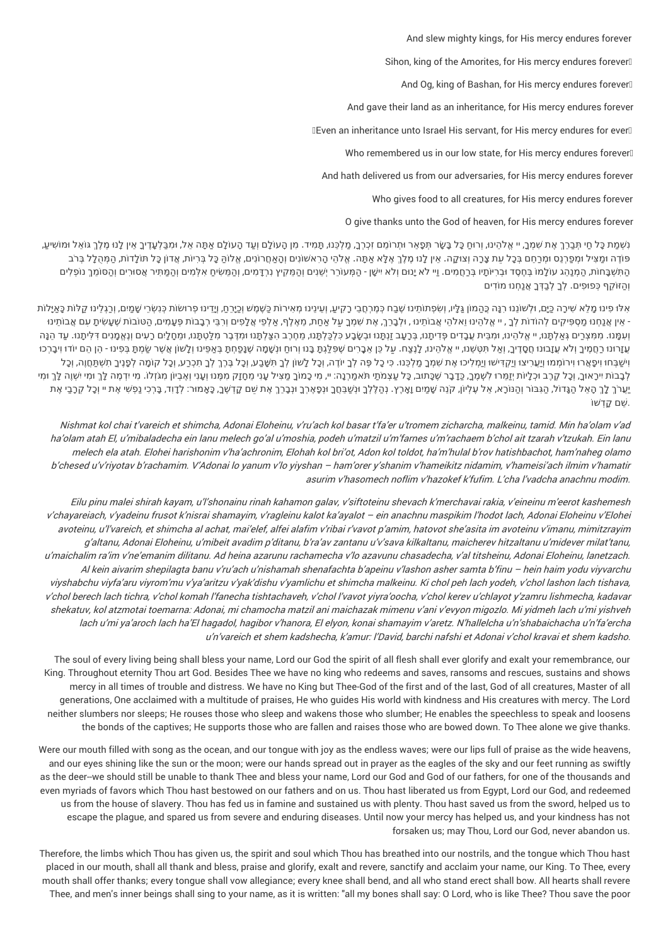And slew mighty kings, for His mercy endures forever

Sihon, king of the Amorites, for His mercy endures forever

And Og, king of Bashan, for His mercy endures forever

And gave their land as an inheritance, for His mercy endures forever

DEven an inheritance unto Israel His servant, for His mercy endures for everD

Who remembered us in our low state, for His mercy endures forever

And hath delivered us from our adversaries, for His mercy endures forever

Who gives food to all creatures, for His mercy endures forever

O give thanks unto the God of heaven, for His mercy endures forever

נְשְׁמַת כָּל חַי תְּבַרֵךְ אֶת שִׁמְרָ, יי אֱלֹהֶינוּ, וְרוּחַ כָּל בָּשֶׂר תְּפָאֶר וּתְרוֹמֵם זְכְרָךָ, מַלְכָנוּ, תָּמִיד. מִן הַעוֹלָם וְעָד הָעוֹלָם אַתָּה אֶל, וּמְבַּלְעָדִיךָ אִין לַנוּ מָלֶךְ גּוֹאֶל וּמוֹשִׁיעַ פּוֹדֶה וּמַצִּיל וּמְפַרְנֵס וּמְרַחֵם בְּכָל עַת צָרָה וְצוּקָה. אֵין לַנוּ מֶלֶךְ אֶלָּא אַתָּה. אֱלֹהֵי הָרָאשׁוֹנִים וְהָאֲחֲרוֹנִים, אֱלוֹהַ כָּל בְּרִיוֹת, אֲדוֹן כָּל תּוֹלָדוֹת, הַמְהֻלָּל בְּרֹב הַתִּשְׁבָּחוֹת, הַמְנַהֵג עוֹלָמוֹ בְּחֶסֶד וּבְרִיוֹתָיו בְּרַחֲמִים. וַיי לא יָנום וְלא יִשָׁן - הַמְעוֹרֶר יְשָׁנִים וְהַמֶּקִיץ נִרְדָּמִים, וְהַמֵּשִׂיחַ אִלְמִים וְהַמַּתִּיר אֲסוּרִים וְהַסּוֹמֵךְ נוֹפְלִים וְהַזּוֹקֵף כְּפוּפִים. לְךָ לְבַדְּךָ אֲנַחָנוּ מוֹדִים

אָלוּ פִינוּ מָלֵא שִׁירָה כַּיַם, וּלְשוֹנֵנוּ רִנָּה כְּהַמוֹן גַּלָּיו, וְשִׂפְתוֹתֵינוּ שָׁבַח כְּמְרְחָבֵי רָקִיעַ, וְעִינֵינוּ מְאִירוֹת כַּשְׁמָש וְכַיָרֶה, וְדֵינוּ פְרוּשׂוֹת כִּנְשְׂרֵי שָׁמַים, וְרַגְלִינוּ קַלּ - אַין אֲנַחְנוּ מַסְפִּיקִים להודות לךָ, יי אֱלהֵינוּ וַאלֹהֵי אֲבוֹתֵינוּ, וּלְבָרֶךְ, אֶת שִׁמְרָ עַל אַחַת, מַאֶלֶף, אַלְפִי אֲלַפִים וְרִבֵּי רְבָבוֹת פְּעָמִים, הַטּוֹבוֹת שֶׁעָשִׂיתָ עִם אֲבוֹתֵינוּ וְעִמָּנוּ. מִמִּצְרַים גְּאַלְתָּנוּ, יי אֱלֹהֵינוּ, וּמִבֵּית עְבָדִים פְּדִיתָנוּ, בְרָעָב זַגְתָּנוּ וּבְשָׂבָע כִּלְכַלְתָּנוּ, מֵחֶרֶב הִצַּלְתָּנוּ וּמִדֶּבֶר מִלַּטְתָּנוּ, וּמַהֲלֹוּם רָעוּם וַנְאָמָנִים דִּלִיתָנ עֲזָרוּנוּ רַחֲמֶיךָ וְלֹא עֲזָבוּנוּ חָסָדֶיךָ, וְאַל תִּטְשַׁנוּ, יי אֱלֹהֵינוּ, לַגֲצַח. עַל כֵּן אֶבָרִים שֶׁפִּלַגְתָּ בָּנוּ וְרוּחַ וּנְשָׁמָה שֶׁנַּפַחְתָּ בְּאַפֵּינוּ וְלָשׁוֹן אֲשֶׁר שַׁמְתָּ בְּפִינוּ - הַן הַם וִישַׁבְּחוּ וִיפָאָרוּ וִירוֹמְמוּ וַיַּעֲרִישוּ וַיַּמְלִיכוּ אֶת שִׁמְךָ מַלְכֵּנוּ. כִּי כָל פֶה לְךָ יוֹדֶה, וְכָל לָשׁוֹן לְךָ תִּשְׁבַע, וְכָל בָּרֶךְ לְךָ תִכְרַע, וְכָל קוֹמָה לְפָנֶיךָ תִשְׁתַחֲוָה, וְכָל לְבָבוֹת ייכְאוּך, וְכָל קֶרֶב וּכְלָיוֹת יְזַמְּרוּ לְשְמֶךָ, כַּדָבָר שֶׁכֶתוּב, כֶּל עַצְמֹתַי תֹּאמַרְנָה: יי, מִי כָמוֹךָ מַצִּיל עָנִי מֵחָזָק הִמֶּנוּ וְעַנִי וְאָבְיוֹן מִגֹּזְל הִי יִי מִי כִּל עַלְמֹתַי תֹּאמַרְנ יַערך לַךְ הָאֶל הַגָּבוֹל, הַגִּבּוֹר וְהַנּוֹכָא, אֶל עָלְיוֹן, קֹנֶה שָׁמַיִם וַאָּכִץ. נְהַלָּלְךָ וּנְשַׁבֶּחֲךָ וּנְפָאֶרְךָ וּנְבָרֶךְ אֶת שַׁם קַדְשָׁךָ, כָּאֲמוּר: לְדַוְד, בָּרְכִי נַפְשִׁי אֶת יי וְכָל קָרָבֵי א .<br>שם קדשו.

Nishmat kol chai t'vareich et shimcha, Adonai Eloheinu, <sup>v</sup>'ru'ach kol basar t'fa'er <sup>u</sup>'tromem zicharcha, malkeinu, tamid. Min ha'olam <sup>v</sup>'ad ha'olam atah El, <sup>u</sup>'mibaladecha ein lanu melech go'al <sup>u</sup>'moshia, podeh <sup>u</sup>'matzil <sup>u</sup>'m'farnes <sup>u</sup>'m'rachaem b'chol ait tzarah <sup>v</sup>'tzukah. Ein lanu melech ela atah. Elohei harishonim <sup>v</sup>'ha'achronim, Elohah kol bri'ot, Adon kol toldot, ha'm'hulal b'rov hatishbachot, ham'naheg olamo b'chesed <sup>u</sup>'v'riyotav b'rachamim. V'Adonai lo yanum <sup>v</sup>'lo yiyshan – ham'orer y'shanim <sup>v</sup>'hameikitz nidamim, <sup>v</sup>'hameisi'ach ilmim <sup>v</sup>'hamatir asurim <sup>v</sup>'hasomech noflim <sup>v</sup>'hazokef k'fufim. L'cha l'vadcha anachnu modim.

Eilu pinu malei shirah kayam, <sup>u</sup>'l'shonainu rinah kahamon galav, <sup>v</sup>'siftoteinu shevach k'merchavai rakia, <sup>v</sup>'eineinu <sup>m</sup>'eerot kashemesh <sup>v</sup>'chayareiach, <sup>v</sup>'yadeinu frusot k'nisrai shamayim, <sup>v</sup>'ragleinu kalot ka'ayalot – ein anachnu maspikim l'hodot lach, Adonai Eloheinu <sup>v</sup>'Elohei avoteinu, <sup>u</sup>'l'vareich, et shimcha al achat, mai'elef, alfei alafim <sup>v</sup>'ribai <sup>r</sup>'vavot p'amim, hatovot she'asita im avoteinu <sup>v</sup>'imanu, mimitzrayim g'altanu, Adonai Eloheinu, <sup>u</sup>'mibeit avadim p'ditanu, b'ra'av zantanu <sup>u</sup>'v'sava kilkaltanu, maicherev hitzaltanu <sup>u</sup>'midever milat'tanu, <sup>u</sup>'maichalim ra'im <sup>v</sup>'ne'emanim dilitanu. Ad heina azarunu rachamecha <sup>v</sup>'lo azavunu chasadecha, <sup>v</sup>'al titsheinu, Adonai Eloheinu, lanetzach. Al kein aivarim shepilagta banu <sup>v</sup>'ru'ach <sup>u</sup>'nishamah shenafachta b'apeinu <sup>v</sup>'lashon asher samta b'finu – hein haim yodu viyvarchu viyshabchu viyfa'aru viyrom'mu <sup>v</sup>'ya'aritzu <sup>v</sup>'yak'dishu <sup>v</sup>'yamlichu et shimcha malkeinu. Ki chol peh lach yodeh, <sup>v</sup>'chol lashon lach tishava, <sup>v</sup>'chol berech lach tichra, <sup>v</sup>'chol komah l'fanecha tishtachaveh, <sup>v</sup>'chol l'vavot yiyra'oocha, <sup>v</sup>'chol kerev <sup>u</sup>'chlayot y'zamru lishmecha, kadavar shekatuv, kol atzmotai toemarna: Adonai, mi chamocha matzil ani maichazak mimenu <sup>v</sup>'ani <sup>v</sup>'evyon migozlo. Mi yidmeh lach <sup>u</sup>'mi yishveh lach <sup>u</sup>'mi ya'aroch lach ha'El hagadol, hagibor <sup>v</sup>'hanora, El elyon, konai shamayim <sup>v</sup>'aretz. N'hallelcha <sup>u</sup>'n'shabaichacha <sup>u</sup>'n'fa'ercha <sup>u</sup>'n'vareich et shem kadshecha, k'amur: l'David, barchi nafshi et Adonai <sup>v</sup>'chol kravai et shem kadsho.

The soul of every living being shall bless your name, Lord our God the spirit of all flesh shall ever glorify and exalt your remembrance, our King. Throughout eternity Thou art God. Besides Thee we have no king who redeems and saves, ransoms and rescues, sustains and shows mercy in all times of trouble and distress. We have no King but Thee-God of the first and of the last, God of all creatures, Master of all generations, One acclaimed with a multitude of praises, He who guides His world with kindness and His creatures with mercy. The Lord neither slumbers nor sleeps; He rouses those who sleep and wakens those who slumber; He enables the speechless to speak and loosens the bonds of the captives; He supports those who are fallen and raises those who are bowed down. To Thee alone we give thanks.

Were our mouth filled with song as the ocean, and our tongue with joy as the endless waves; were our lips full of praise as the wide heavens, and our eyes shining like the sun or the moon; were our hands spread out in prayer as the eagles of the sky and our feet running as swiftly as the deer--we should still be unable to thank Thee and bless your name, Lord our God and God of our fathers, for one of the thousands and even myriads of favors which Thou hast bestowed on our fathers and on us. Thou hast liberated us from Egypt, Lord our God, and redeemed us from the house of slavery. Thou has fed us in famine and sustained us with plenty. Thou hast saved us from the sword, helped us to escape the plague, and spared us from severe and enduring diseases. Until now your mercy has helped us, and your kindness has not forsaken us; may Thou, Lord our God, never abandon us.

Therefore, the limbs which Thou has given us, the spirit and soul which Thou has breathed into our nostrils, and the tongue which Thou hast placed in our mouth, shall all thank and bless, praise and glorify, exalt and revere, sanctify and acclaim your name, our King. To Thee, every mouth shall offer thanks; every tongue shall vow allegiance; every knee shall bend, and all who stand erect shall bow. All hearts shall revere Thee, and men's inner beings shall sing to your name, as it is written: "all my bones shall say: O Lord, who is like Thee? Thou save the poor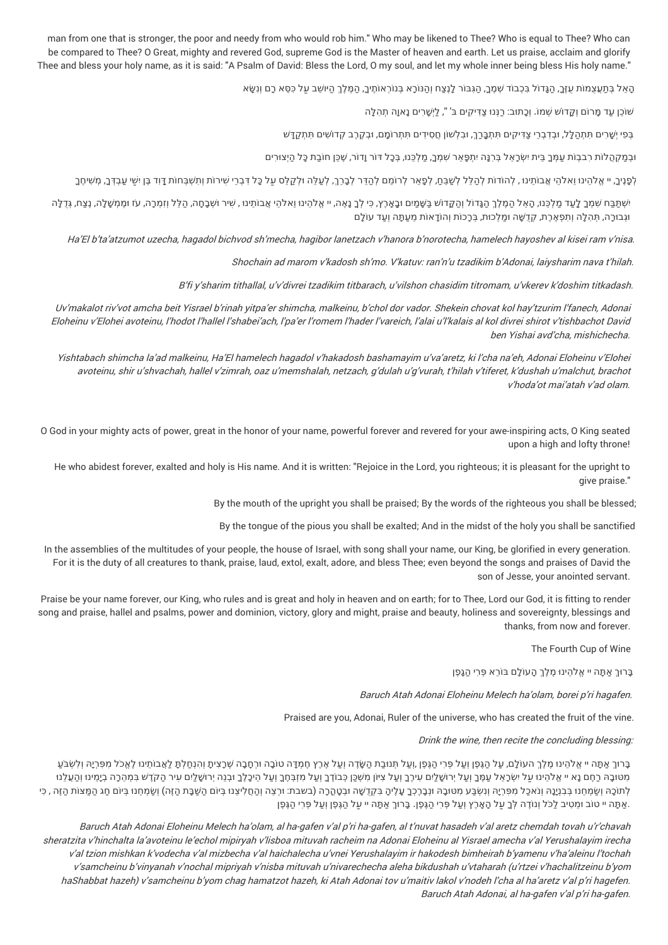man from one that is stronger, the poor and needy from who would rob him." Who may be likened to Thee? Who is equal to Thee? Who can be compared to Thee? O Great, mighty and revered God, supreme God is the Master of heaven and earth. Let us praise, acclaim and glorify Thee and bless your holy name, as it is said: "A Psalm of David: Bless the Lord, O my soul, and let my whole inner being bless His holy name."

ָהָאֵל בְּתַעֲצֻמוֹת עֻזֶּךָ, הַגֶּדוֹל בִּכְבוֹד שְׁמֶךָ, הַגִּבּוֹר לָנֶצַח וְהַנּוֹרָא בְּנוֹרְאוֹתֶיךָ, הַמֶּלֶךְ הַיּוֹשֵׁב עַל כִּסֵא רָם וְנָשָּׂא

ׁש ֹוכֵן עַד ָּמר ֹום וְ ָקּד ֹו ׁש ְשׁמ ֹו. וְכָתו ּב: רַנְּנו ּצַ ִדּי ִקים בּ' '', לַי ְ ָׁשרִים נָאוָה תְ ִהלָּה

ּבְּפִי יְשָׁרִים תִּתְהַלָּל, וּבְדִבְרֵי צַדִּיקִים תִּתְבַּרַךְ, וּבִלְשוֹן חֲסִידִים תִּתְרוֹמָם, וּבְקֶרֶב קְדוֹשִׁים תִּתְקַדָּשׁ

ּוּבְמַקְהֲלוֹת רִבִבְוֹת עַמְּךָ בֵּית יִשְׂרָאֵל בְּרִנָּה יִתְפָּאֵר שִׁמְךָ, מַלְכֵּנוּ, בְּכָל דּוֹר וָדוֹר, שֶׁכֵּן חוֹבַת כָּל הַיְצוּרִים

לְפָנֶיךָ, יי אֱלֹהִינוּ וֵאלֹהֵי אֲבוֹתֵינוּ, לְהוֹדוֹת לְהַלֵּל לְשַׁבֵּחַ, לְפָאֵר לְרוֹמֵם לְהַדֵּר לְבָרֵךְ, לְעַלֵּה וּלְקַלֶּס עַל כָּל דְּבְרָי שִׁירוֹת וְתִשְׁבְחוֹת דַוִד בֶּן יִשִׁי עַבְדְּךָ, מְשִׁיחֶךָ

יִשְׁתַּבַּח שִׁמְךָ לַעַד מַלְכֵּנו, הָאֵל הַמֶּלֶךְ הַגַּדוֹל וְהַקָּדוֹש בַּשָּׁמַיִם וּבַאָּרֶץ, כִּי לְךָ נָאָה, יי אֱלֹהֵינו וַאלֹהֵי אֲבוֹתִינוּ , שִׁיר וּשְׁבָחָה, הַלֵּל וְזִמְהָע לָה, נְצַח, גְּדֵלָה וּגְבוּרַה, תִּהְלֵה וְתִפְאֵרֶת, קְדֶשֶׁה וּמַלְכוּת, בְּרָכוֹת וְהוֹדֵאוֹת מֵעֲתַּה וְעַד עוֹלֵם

Ha'El b'ta'atzumot uzecha, hagadol bichvod sh'mecha, hagibor lanetzach <sup>v</sup>'hanora b'norotecha, hamelech hayoshev al kisei ram <sup>v</sup>'nisa.

Shochain ad marom <sup>v</sup>'kadosh sh'mo. V'katuv: ran'n'u tzadikim b'Adonai, laiysharim nava <sup>t</sup>'hilah.

B'fi y'sharim tithallal, <sup>u</sup>'v'divrei tzadikim titbarach, <sup>u</sup>'vilshon chasidim titromam, <sup>u</sup>'vkerev k'doshim titkadash.

Uv'makalot riv'vot amcha beit Yisrael b'rinah yitpa'er shimcha, malkeinu, b'chol dor vador. Shekein chovat kol hay'tzurim l'fanech, Adonai Eloheinu <sup>v</sup>'Elohei avoteinu, l'hodot l'hallel l'shabei'ach, l'pa'er l'romem l'hader l'vareich, l'alai <sup>u</sup>'l'kalais al kol divrei shirot <sup>v</sup>'tishbachot David ben Yishai avd'cha, mishichecha.

Yishtabach shimcha la'ad malkeinu, Ha'El hamelech hagadol <sup>v</sup>'hakadosh bashamayim <sup>u</sup>'va'aretz, ki l'cha na'eh, Adonai Eloheinu <sup>v</sup>'Elohei avoteinu, shir <sup>u</sup>'shvachah, hallel <sup>v</sup>'zimrah, oaz <sup>u</sup>'memshalah, netzach, g'dulah <sup>u</sup>'g'vurah, <sup>t</sup>'hilah <sup>v</sup>'tiferet, k'dushah <sup>u</sup>'malchut, brachot <sup>v</sup>'hoda'ot mai'atah <sup>v</sup>'ad olam.

O God in your mighty acts of power, great in the honor of your name, powerful forever and revered for your awe-inspiring acts, O King seated upon a high and lofty throne!

He who abidest forever, exalted and holy is His name. And it is written: "Rejoice in the Lord, you righteous; it is pleasant for the upright to give praise."

By the mouth of the upright you shall be praised; By the words of the righteous you shall be blessed;

By the tongue of the pious you shall be exalted; And in the midst of the holy you shall be sanctified.

In the assemblies of the multitudes of your people, the house of Israel, with song shall your name, our King, be glorified in every generation. For it is the duty of all creatures to thank, praise, laud, extol, exalt, adore, and bless Thee; even beyond the songs and praises of David the son of Jesse, your anointed servant.

Praise be your name forever, our King, who rules and is great and holy in heaven and on earth; for to Thee, Lord our God, it is fitting to render song and praise, hallel and psalms, power and dominion, victory, glory and might, praise and beauty, holiness and sovereignty, blessings and thanks, from now and forever.

The Fourth Cup of Wine

בָּרוּךְ אַתָּה יי אֱלֹהֵינוּ מֶלֶךְ הָעוֹלַם בּוֹרֵא פְּרִי הַגָּפֶן

Baruch Atah Adonai Eloheinu Melech ha'olam, borei p'ri hagafen.

Praised are you, Adonai, Ruler of the universe, who has created the fruit of the vine.

Drink the wine, then recite the concluding blessing:

בָּרוּךְ אַתָּה יי אֱלֹהֵינוּ מֶלֶךְ העוֹלָם, עַל הַגֶּפֶן וְעַל פְרִי הַגֶּפֶן ,וְעַל תְּנוּבַת הַשָּׂדֶה וְעַל אֶרֶץ חֶמְדָּה טוֹבָה וּרְחָבָה שֶׁרָצִיתָ וְהִנְחַלְתָּ לַאֲבוֹתִינוּ לָאֶכֹל מִפִּרְיָהּ וְלִשְׂבֹעַ מִטוּבָהּ רַחֶם נָא יי אֱלֹהֵינוּ עַל יִשְׂרָאֵל עַמָּךָ וְעַל יְרוּשָׁלַיִם עִירֶךָ וְעַל צִיּוֹן מִשְׁכַּן כְבוֹדֶךָ וְעַל מִזְבְּחֶךָ וְעַל מִיקְבֶךְ נִיבְה יְרוּשָׁלַנוּ לְהַחֶבְה בְּמֵהָרָה בְיֵמֵינוּ וְהַעֲלָנוּ ּ לְתוֹכָהּ וְשַׂמְחֵנוּ בְּבִנְיָנָהּ וְנֹאכַל מִפְרָיָהּ וְנִשְׂבַע מִטּוּבָה וּנְבָרֶכְךָ עָלֶיהָ בִּקְדֶשָׁה וּבְטָהֶכָה (בשבת: וּרְצֶה וְהַחֲלִיצֶנוּ בִּיוֹם הַשַּׁבָּת הַזָּה , כִּי שִׁנַּה וּנְבָרֶכְךָ עָלֶיהָ בְּקָדֶ ַאֲתָּה יי טוֹב וּמֵטִיב לַכֹּל וְנוֹדֶה לְּךָ עַל הָאָרֶץ וְעַל פְּרִי הַגֶּפֶן. בָּרוּךְ אַתָּה יי עַל הַגֶּפֶן וְעַל פְּרִי הַגֶּפֶן.

Baruch Atah Adonai Eloheinu Melech ha'olam, al ha-gafen <sup>v</sup>'al p'ri ha-gafen, al <sup>t</sup>'nuvat hasadeh <sup>v</sup>'al aretz chemdah tovah <sup>u</sup>'r'chavah sheratzita <sup>v</sup>'hinchalta la'avoteinu le'echol mipiryah <sup>v</sup>'lisboa mituvah racheim na Adonai Eloheinu al Yisrael amecha <sup>v</sup>'al Yerushalayim irecha <sup>v</sup>'al tzion mishkan k'vodecha <sup>v</sup>'al mizbecha <sup>v</sup>'al haichalecha <sup>u</sup>'vnei Yerushalayim ir hakodesh bimheirah b'yamenu <sup>v</sup>'ha'aleinu l'tochah <sup>v</sup>'samcheinu b'vinyanah <sup>v</sup>'nochal mipriyah <sup>v</sup>'nisba mituvah <sup>u</sup>'nivarechecha aleha bikdushah <sup>u</sup>'vtaharah (u'rtzei <sup>v</sup>'hachalitzeinu b'yom haShabbat hazeh) <sup>v</sup>'samcheinu b'yom chag hamatzot hazeh, ki Atah Adonai tov <sup>u</sup>'maitiv lakol <sup>v</sup>'nodeh l'cha al ha'aretz <sup>v</sup>'al p'ri hagefen. Baruch Atah Adonai, al ha-gafen <sup>v</sup>'al p'ri ha-gafen.